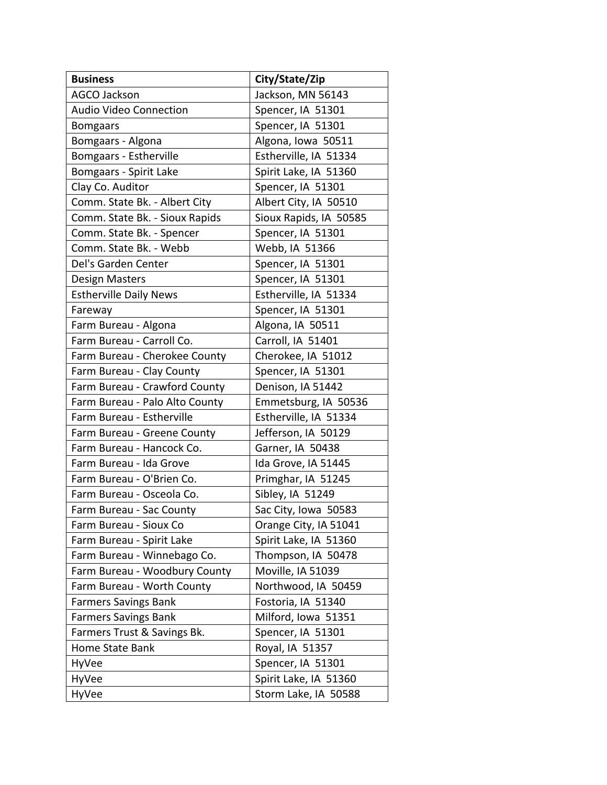| <b>Business</b>                | City/State/Zip         |
|--------------------------------|------------------------|
| <b>AGCO Jackson</b>            | Jackson, MN 56143      |
| <b>Audio Video Connection</b>  | Spencer, IA 51301      |
| <b>Bomgaars</b>                | Spencer, IA 51301      |
| Bomgaars - Algona              | Algona, Iowa 50511     |
| Bomgaars - Estherville         | Estherville, IA 51334  |
| Bomgaars - Spirit Lake         | Spirit Lake, IA 51360  |
| Clay Co. Auditor               | Spencer, IA 51301      |
| Comm. State Bk. - Albert City  | Albert City, IA 50510  |
| Comm. State Bk. - Sioux Rapids | Sioux Rapids, IA 50585 |
| Comm. State Bk. - Spencer      | Spencer, IA 51301      |
| Comm. State Bk. - Webb         | Webb, IA 51366         |
| Del's Garden Center            | Spencer, IA 51301      |
| <b>Design Masters</b>          | Spencer, IA 51301      |
| <b>Estherville Daily News</b>  | Estherville, IA 51334  |
| Fareway                        | Spencer, IA 51301      |
| Farm Bureau - Algona           | Algona, IA 50511       |
| Farm Bureau - Carroll Co.      | Carroll, IA 51401      |
| Farm Bureau - Cherokee County  | Cherokee, IA 51012     |
| Farm Bureau - Clay County      | Spencer, IA 51301      |
| Farm Bureau - Crawford County  | Denison, IA 51442      |
| Farm Bureau - Palo Alto County | Emmetsburg, IA 50536   |
| Farm Bureau - Estherville      | Estherville, IA 51334  |
| Farm Bureau - Greene County    | Jefferson, IA 50129    |
| Farm Bureau - Hancock Co.      | Garner, IA 50438       |
| Farm Bureau - Ida Grove        | Ida Grove, IA 51445    |
| Farm Bureau - O'Brien Co.      | Primghar, IA 51245     |
| Farm Bureau - Osceola Co.      | Sibley, IA 51249       |
| Farm Bureau - Sac County       | Sac City, Iowa 50583   |
| Farm Bureau - Sioux Co         | Orange City, IA 51041  |
| Farm Bureau - Spirit Lake      | Spirit Lake, IA 51360  |
| Farm Bureau - Winnebago Co.    | Thompson, IA 50478     |
| Farm Bureau - Woodbury County  | Moville, IA 51039      |
| Farm Bureau - Worth County     | Northwood, IA 50459    |
| <b>Farmers Savings Bank</b>    | Fostoria, IA 51340     |
| <b>Farmers Savings Bank</b>    | Milford, Iowa 51351    |
| Farmers Trust & Savings Bk.    | Spencer, IA 51301      |
| Home State Bank                | Royal, IA 51357        |
| HyVee                          | Spencer, IA 51301      |
| HyVee                          | Spirit Lake, IA 51360  |
| HyVee                          | Storm Lake, IA 50588   |